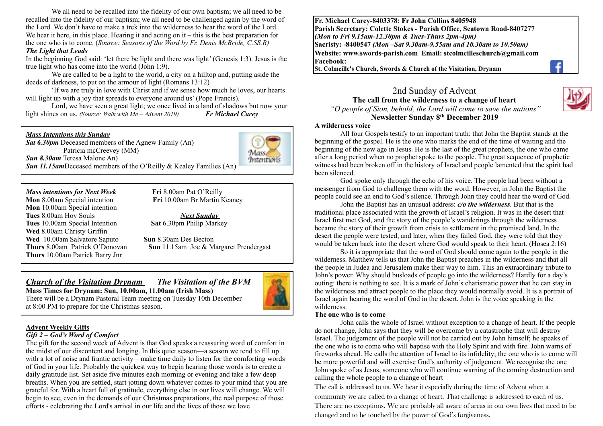We all need to be recalled into the fidelity of our own baptism; we all need to be recalled into the fidelity of our baptism; we all need to be challenged again by the word of the Lord. We don't have to make a trek into the wilderness to hear the word of the Lord. We hear it here, in this place. Hearing it and acting on  $it - this$  is the best preparation for the one who is to come. (*Source: Seasons of the Word by Fr. Denis McBride, C.SS.R) The Light that Leads* 

In the beginning God said: 'let there be light and there was light' (Genesis 1:3). Jesus is the true light who has come into the world (John 1:9).

We are called to be a light to the world, a city on a hilltop and, putting aside the deeds of darkness, to put on the armour of light (Romans 13:12)

'If we are truly in love with Christ and if we sense how much he loves, our hearts will light up with a joy that spreads to everyone around us' (Pope Francis).

Lord, we have seen a great light; we once lived in a land of shadows but now your light shines on us. *(Source: Walk with Me – Advent 2019) Fr Michael Carey*

#### *Mass Intentions this Sunday*

*Sat 6.30pm* Deceased members of the Agnew Family (An) Patricia mcCreevey (MM) *Sun 8.30am* Teresa Malone An)



*Sun 11.15am*Deceased members of the O'Reilly & Kealey Families (An)

**Mon** 10.00am Special intention **Tues** 8.00am Hoy Souls *Next Sunday*  **Tues** 10.00am Special Intention **Sat** 6.30pm Philip Markey **Wed** 8.00am Christy Griffin **Wed** 10.00am Salvatore Saputo **Sun** 8.30am Des Becton **Thurs** 10.00am Patrick Barry Jnr

*Mass intentions for Next Week* **<b>Fri** 8.00am Pat O'Reilly **Mon** 8.00am Special intention **Fri** 10.00am Br Martin K **Fri** 10.00am Br Martin Keaney

**Thurs** 8.00am Patrick O'Donovan **Sun** 11.15am Joe & Margaret Prendergast

#### *Church of the Visitation Drynam**The Visitation of the BVM* **Mass Times for Drynam: Sun, 10.00am, 11.00am (Irish Mass)**

at 8:00 PM to prepare for the Christmas season.

There will be a Drynam Pastoral Team meeting on Tuesday 10th December



#### *Gift 2 – God's Word of Comfort*

The gift for the second week of Advent is that God speaks a reassuring word of comfort in the midst of our discontent and longing. In this quiet season—a season we tend to fill up with a lot of noise and frantic activity—make time daily to listen for the comforting words of God in your life. Probably the quickest way to begin hearing those words is to create a daily gratitude list. Set aside five minutes each morning or evening and take a few deep breaths. When you are settled, start jotting down whatever comes to your mind that you are grateful for. With a heart full of gratitude, everything else in our lives will change. We will begin to see, even in the demands of our Christmas preparations, the real purpose of those efforts - celebrating the Lord's arrival in our life and the lives of those we love

**Fr. Michael Carey-8403378: Fr John Collins 8405948 Parish Secretary: Colette Stokes - Parish Office, Seatown Road-8407277**  *(Mon to Fri 9.15am-12.30pm & Tues-Thurs 2pm-4pm)*  **Sacristy: -8400547** *(Mon –Sat 9.30am-9.55am and 10.30am to 10.50am)* **Website: [www.swords-parish.com Email:](http://www.swords-parish.com%20%20email) stcolmcilleschurch@gmail.com Facebook:** 

**St. Colmcille's Church, Swords & Church of the Visitation, Drynam**



2nd Sunday of Advent **The call from the wilderness to a change of heart**

 *"O people of Sion, behold, the Lord will come to save the nations"*  **Newsletter Sunday 8th December 2019** 

#### **A wilderness voice**

All four Gospels testify to an important truth: that John the Baptist stands at the beginning of the gospel. He is the one who marks the end of the time of waiting and the beginning of the new age in Jesus. He is the last of the great prophets, the one who came after a long period when no prophet spoke to the people. The great sequence of prophetic witness had been broken off in the history of Israel and people lamented that the spirit had been silenced.

God spoke only through the echo of his voice. The people had been without a messenger from God to challenge them with the word. However, in John the Baptist the people could see an end to God's silence. Through John they could hear the word of God.

John the Baptist has an unusual address: *c/o the wilderness*. But that is the traditional place associated with the growth of Israel's religion. It was in the desert that Israel first met God, and the story of the people's wanderings through the wilderness became the story of their growth from crisis to settlement in the promised land. In the desert the people were tested, and later, when they failed God, they were told that they would be taken back into the desert where God would speak to their heart. (Hosea 2:16)

So it is appropriate that the word of God should come again to the people in the wilderness. Matthew tells us that John the Baptist preaches in the wilderness and that all the people in Judea and Jerusalem make their way to him. This an extraordinary tribute to John's power. Why should busloads of people go into the wilderness? Hardly for a day's outing: there is nothing to see. It is a mark of John's charismatic power that he can stay in the wilderness and attract people to the place they would normally avoid. It is a portrait of Israel again hearing the word of God in the desert. John is the voice speaking in the wilderness.

#### **The one who is to come**

John calls the whole of Israel without exception to a change of heart. If the people do not change, John says that they will be overcome by a catastrophe that will destroy Israel. The judgement of the people will not be carried out by John himself; he speaks of the one who is to come who will baptise with the Holy Spirit and with fire. John warns of fireworks ahead. He calls the attention of Israel to its infidelity; the one who is to come will be more powerful and will exercise God's authority of judgement. We recognise the one John spoke of as Jesus, someone who will continue warning of the coming destruction and calling the whole people to a change of heart

The call is addressed to us. We hear it especially during the time of Advent when a community we are called to a change of heart. That challenge is addressed to each of us. There are no exceptions. We are probably all aware of areas in our own lives that need to be changed and to be touched by the power of God's forgiveness.